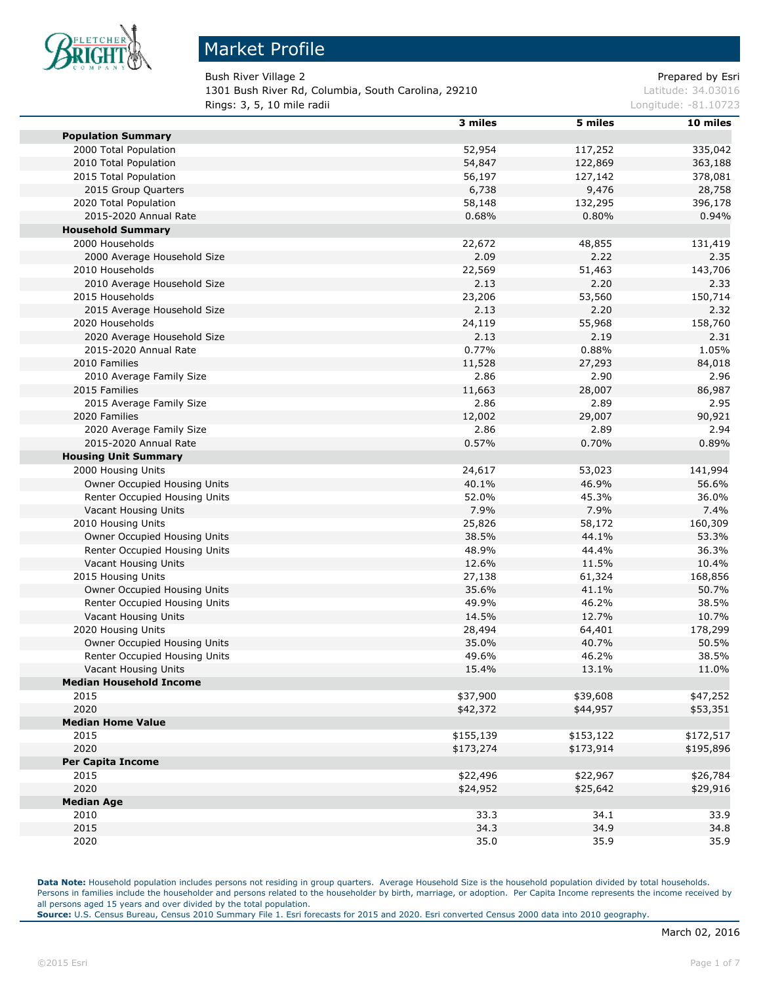

#### Market Profile

Bush River Village 2 **Prepared by Esri** Prepared by Esri 1301 Bush River Rd, Columbia, South Carolina, 29210 Latitude: 34.03016

**Rings: 3, 5, 10 mile radii** Longitude: -81.10723

|                                | 3 miles   | 5 miles   | 10 miles  |
|--------------------------------|-----------|-----------|-----------|
| <b>Population Summary</b>      |           |           |           |
| 2000 Total Population          | 52,954    | 117,252   | 335,042   |
| 2010 Total Population          | 54,847    | 122,869   | 363,188   |
| 2015 Total Population          | 56,197    | 127,142   | 378,081   |
| 2015 Group Quarters            | 6,738     | 9,476     | 28,758    |
| 2020 Total Population          | 58,148    | 132,295   | 396,178   |
| 2015-2020 Annual Rate          | 0.68%     | 0.80%     | 0.94%     |
| <b>Household Summary</b>       |           |           |           |
| 2000 Households                | 22,672    | 48,855    | 131,419   |
| 2000 Average Household Size    | 2.09      | 2.22      | 2.35      |
| 2010 Households                | 22,569    | 51,463    | 143,706   |
| 2010 Average Household Size    | 2.13      | 2.20      | 2.33      |
| 2015 Households                | 23,206    | 53,560    | 150,714   |
| 2015 Average Household Size    | 2.13      | 2.20      | 2.32      |
| 2020 Households                | 24,119    | 55,968    | 158,760   |
| 2020 Average Household Size    | 2.13      | 2.19      | 2.31      |
| 2015-2020 Annual Rate          | 0.77%     | 0.88%     | 1.05%     |
| 2010 Families                  | 11,528    | 27,293    | 84,018    |
| 2010 Average Family Size       | 2.86      | 2.90      | 2.96      |
| 2015 Families                  | 11,663    | 28,007    | 86,987    |
| 2015 Average Family Size       | 2.86      | 2.89      | 2.95      |
| 2020 Families                  | 12,002    | 29,007    | 90,921    |
| 2020 Average Family Size       | 2.86      | 2.89      | 2.94      |
| 2015-2020 Annual Rate          | 0.57%     | 0.70%     | 0.89%     |
| <b>Housing Unit Summary</b>    |           |           |           |
| 2000 Housing Units             | 24,617    | 53,023    | 141,994   |
| Owner Occupied Housing Units   | 40.1%     | 46.9%     | 56.6%     |
| Renter Occupied Housing Units  | 52.0%     | 45.3%     | 36.0%     |
| Vacant Housing Units           | 7.9%      | 7.9%      | 7.4%      |
| 2010 Housing Units             | 25,826    | 58,172    | 160,309   |
| Owner Occupied Housing Units   | 38.5%     | 44.1%     | 53.3%     |
| Renter Occupied Housing Units  | 48.9%     | 44.4%     | 36.3%     |
| Vacant Housing Units           | 12.6%     | 11.5%     | 10.4%     |
| 2015 Housing Units             | 27,138    | 61,324    | 168,856   |
| Owner Occupied Housing Units   | 35.6%     | 41.1%     | 50.7%     |
| Renter Occupied Housing Units  | 49.9%     | 46.2%     | 38.5%     |
| Vacant Housing Units           | 14.5%     | 12.7%     | 10.7%     |
| 2020 Housing Units             | 28,494    | 64,401    | 178,299   |
| Owner Occupied Housing Units   | 35.0%     | 40.7%     | 50.5%     |
| Renter Occupied Housing Units  | 49.6%     | 46.2%     | 38.5%     |
| Vacant Housing Units           | 15.4%     | 13.1%     | 11.0%     |
| <b>Median Household Income</b> |           |           |           |
| 2015                           | \$37,900  | \$39,608  | \$47,252  |
| 2020                           | \$42,372  | \$44,957  | \$53,351  |
| <b>Median Home Value</b>       |           |           |           |
| 2015                           | \$155,139 | \$153,122 | \$172,517 |
| 2020                           | \$173,274 | \$173,914 | \$195,896 |
| <b>Per Capita Income</b>       |           |           |           |
| 2015                           | \$22,496  | \$22,967  | \$26,784  |
| 2020                           | \$24,952  | \$25,642  | \$29,916  |
| <b>Median Age</b>              |           |           |           |
| 2010                           | 33.3      | 34.1      | 33.9      |
| 2015                           | 34.3      | 34.9      | 34.8      |
| 2020                           | 35.0      | 35.9      | 35.9      |

**Data Note:** Household population includes persons not residing in group quarters. Average Household Size is the household population divided by total households. Persons in families include the householder and persons related to the householder by birth, marriage, or adoption. Per Capita Income represents the income received by all persons aged 15 years and over divided by the total population.

**Source:** U.S. Census Bureau, Census 2010 Summary File 1. Esri forecasts for 2015 and 2020. Esri converted Census 2000 data into 2010 geography.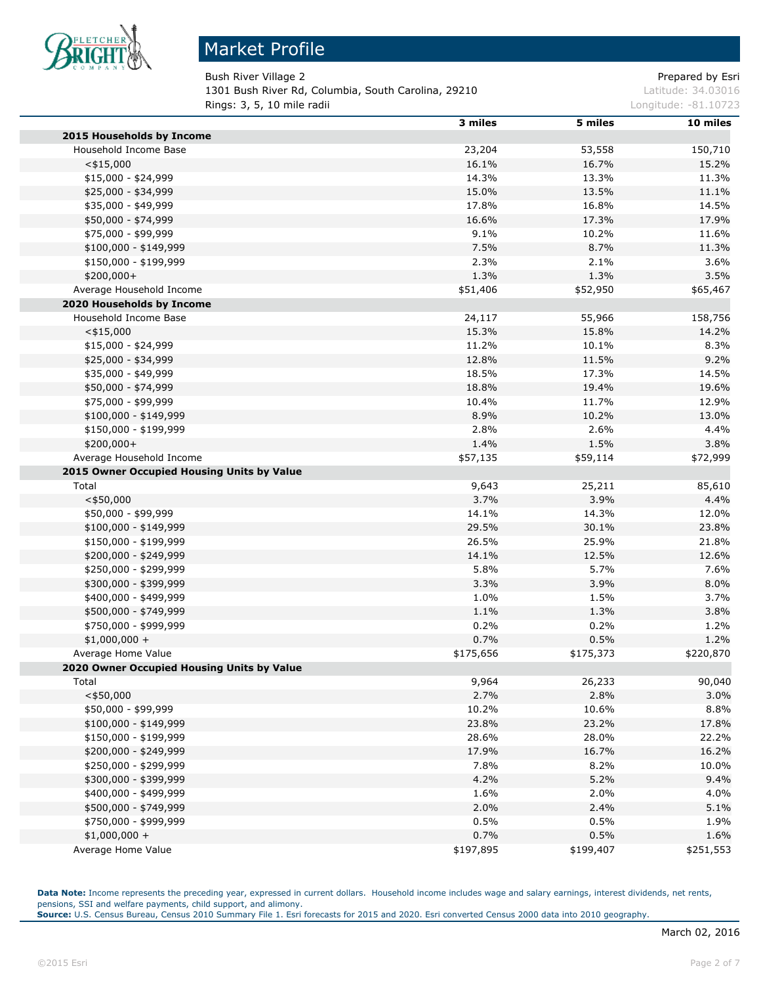

# Market Profile

Bush River Village 2 **Prepared by Estimate 2** Prepared by Esri 1301 Bush River Rd, Columbia, South Carolina, 29210 Latitude: 34.03016 **Rings: 3, 5, 10 mile radii Longitude: -81.10723** 

|                                                | 3 miles   | 5 miles   | 10 miles  |
|------------------------------------------------|-----------|-----------|-----------|
| 2015 Households by Income                      |           |           |           |
| Household Income Base                          | 23,204    | 53,558    | 150,710   |
| $<$ \$15,000                                   | 16.1%     | 16.7%     | 15.2%     |
| \$15,000 - \$24,999                            | 14.3%     | 13.3%     | 11.3%     |
| \$25,000 - \$34,999                            | 15.0%     | 13.5%     | 11.1%     |
| \$35,000 - \$49,999                            | 17.8%     | 16.8%     | 14.5%     |
| \$50,000 - \$74,999                            | 16.6%     | 17.3%     | 17.9%     |
| \$75,000 - \$99,999                            | 9.1%      | 10.2%     | 11.6%     |
| $$100,000 - $149,999$                          | 7.5%      | 8.7%      | 11.3%     |
| \$150,000 - \$199,999                          | 2.3%      | 2.1%      | 3.6%      |
| \$200,000+                                     | 1.3%      | 1.3%      | 3.5%      |
| Average Household Income                       | \$51,406  | \$52,950  | \$65,467  |
| 2020 Households by Income                      |           |           |           |
| Household Income Base                          | 24,117    | 55,966    | 158,756   |
| $<$ \$15,000                                   | 15.3%     | 15.8%     | 14.2%     |
| \$15,000 - \$24,999                            | 11.2%     | 10.1%     | 8.3%      |
| \$25,000 - \$34,999                            | 12.8%     | 11.5%     | 9.2%      |
| \$35,000 - \$49,999                            | 18.5%     | 17.3%     | 14.5%     |
| \$50,000 - \$74,999                            | 18.8%     | 19.4%     | 19.6%     |
| \$75,000 - \$99,999                            | 10.4%     | 11.7%     | 12.9%     |
| $$100,000 - $149,999$                          | 8.9%      | 10.2%     | 13.0%     |
| \$150,000 - \$199,999                          | 2.8%      | 2.6%      | 4.4%      |
| \$200,000+                                     | 1.4%      | 1.5%      | 3.8%      |
| Average Household Income                       | \$57,135  | \$59,114  | \$72,999  |
| 2015 Owner Occupied Housing Units by Value     |           |           |           |
| Total                                          | 9,643     | 25,211    | 85,610    |
| $<$ \$50,000                                   | 3.7%      | 3.9%      | 4.4%      |
| \$50,000 - \$99,999                            | 14.1%     | 14.3%     | 12.0%     |
| $$100,000 - $149,999$                          | 29.5%     | 30.1%     | 23.8%     |
| \$150,000 - \$199,999                          | 26.5%     | 25.9%     | 21.8%     |
| \$200,000 - \$249,999                          | 14.1%     | 12.5%     | 12.6%     |
| \$250,000 - \$299,999                          | 5.8%      | 5.7%      | 7.6%      |
| \$300,000 - \$399,999                          | 3.3%      | 3.9%      | 8.0%      |
| \$400,000 - \$499,999                          | 1.0%      | 1.5%      | 3.7%      |
| \$500,000 - \$749,999                          | 1.1%      | 1.3%      | 3.8%      |
| \$750,000 - \$999,999                          | 0.2%      | 0.2%      | 1.2%      |
| $$1,000,000 +$                                 | 0.7%      | 0.5%      | 1.2%      |
| Average Home Value                             | \$175,656 | \$175,373 | \$220,870 |
| 2020 Owner Occupied Housing Units by Value     |           |           |           |
| Total                                          | 9,964     | 26,233    | 90,040    |
| $<$ \$50,000                                   | 2.7%      | 2.8%      | 3.0%      |
| \$50,000 - \$99,999                            | 10.2%     | 10.6%     | 8.8%      |
| \$100,000 - \$149,999                          | 23.8%     | 23.2%     | 17.8%     |
| \$150,000 - \$199,999                          | 28.6%     | 28.0%     | 22.2%     |
| \$200,000 - \$249,999                          | 17.9%     | 16.7%     | 16.2%     |
| \$250,000 - \$299,999                          | 7.8%      | 8.2%      | 10.0%     |
|                                                |           |           |           |
| \$300,000 - \$399,999<br>\$400,000 - \$499,999 | 4.2%      | 5.2%      | 9.4%      |
|                                                | 1.6%      | 2.0%      | 4.0%      |
| \$500,000 - \$749,999                          | 2.0%      | 2.4%      | 5.1%      |
| \$750,000 - \$999,999                          | 0.5%      | 0.5%      | 1.9%      |
| $$1,000,000 +$                                 | 0.7%      | 0.5%      | 1.6%      |
| Average Home Value                             | \$197,895 | \$199,407 | \$251,553 |

Data Note: Income represents the preceding year, expressed in current dollars. Household income includes wage and salary earnings, interest dividends, net rents, pensions, SSI and welfare payments, child support, and alimony.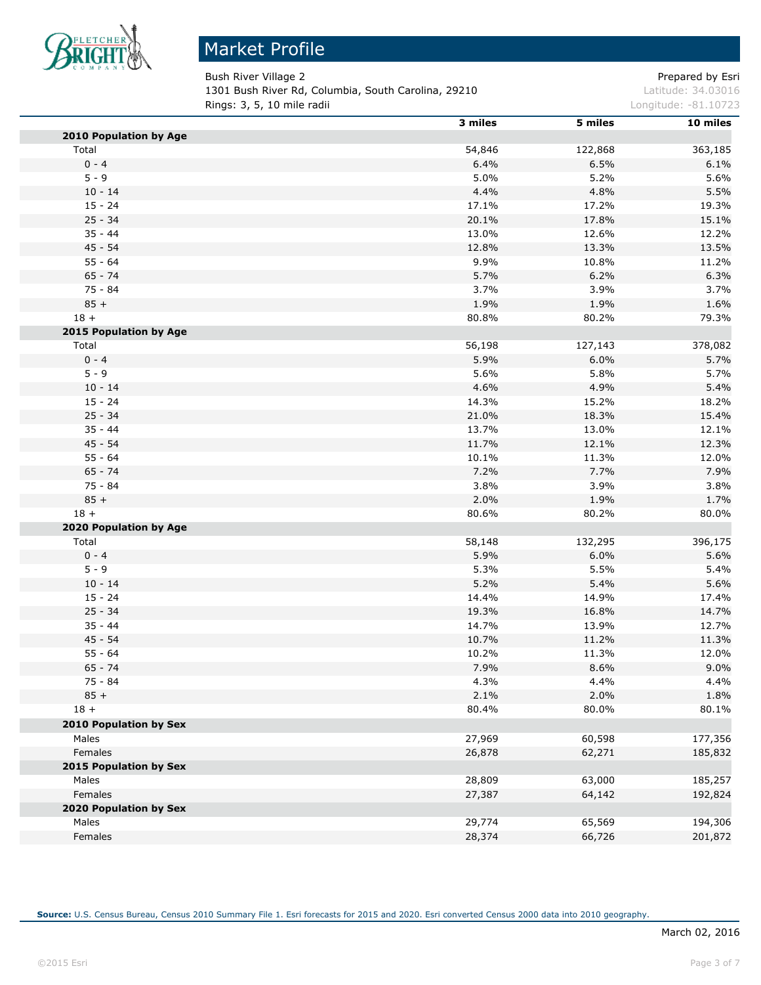

# Market Profile

Bush River Village 2 **Prepared by Estimate 2** Prepared by Esri 1301 Bush River Rd, Columbia, South Carolina, 29210 Latitude: 34.03016 **Rings: 3, 5, 10 mile radii Longitude: -81.10723** 

|                        | 3 miles        | 5 miles | 10 miles |
|------------------------|----------------|---------|----------|
| 2010 Population by Age |                |         |          |
| Total                  | 54,846         | 122,868 | 363,185  |
| $0 - 4$                | 6.4%           | 6.5%    | 6.1%     |
| $5 - 9$                | 5.0%           | 5.2%    | 5.6%     |
| $10 - 14$              | 4.4%           | 4.8%    | 5.5%     |
| $15 - 24$              | 17.1%          | 17.2%   | 19.3%    |
| $25 - 34$              | 20.1%          | 17.8%   | 15.1%    |
| $35 - 44$              | 13.0%          | 12.6%   | 12.2%    |
| $45 - 54$              | 12.8%          | 13.3%   | 13.5%    |
| $55 - 64$              | 9.9%           | 10.8%   | 11.2%    |
| $65 - 74$              | 5.7%           | 6.2%    | 6.3%     |
| $75 - 84$              | 3.7%           | 3.9%    | 3.7%     |
| $85 +$                 | 1.9%           | 1.9%    | 1.6%     |
| $18 +$                 | 80.8%          | 80.2%   | 79.3%    |
| 2015 Population by Age |                |         |          |
| Total                  | 56,198         | 127,143 | 378,082  |
| $0 - 4$                | 5.9%           | 6.0%    | 5.7%     |
| $5 - 9$                | 5.6%           | 5.8%    | 5.7%     |
| $10 - 14$              | 4.6%           | 4.9%    | 5.4%     |
| $15 - 24$              | 14.3%          | 15.2%   | 18.2%    |
| $25 - 34$              | 21.0%          | 18.3%   | 15.4%    |
| $35 - 44$              | 13.7%          | 13.0%   | 12.1%    |
| $45 - 54$              | 11.7%          | 12.1%   | 12.3%    |
| $55 - 64$              | 10.1%          | 11.3%   | 12.0%    |
| $65 - 74$              | 7.2%           | 7.7%    | 7.9%     |
| $75 - 84$              | 3.8%           | 3.9%    | 3.8%     |
| $85 +$                 | 2.0%           | 1.9%    | 1.7%     |
| $18 +$                 | 80.6%          | 80.2%   | 80.0%    |
| 2020 Population by Age |                |         |          |
| Total                  | 58,148         | 132,295 | 396,175  |
| $0 - 4$                | 5.9%           | 6.0%    | 5.6%     |
| $5 - 9$                | 5.3%           | 5.5%    | 5.4%     |
| $10 - 14$              | 5.2%           | 5.4%    | 5.6%     |
| $15 - 24$              | 14.4%          | 14.9%   | 17.4%    |
| $25 - 34$              | 19.3%          | 16.8%   | 14.7%    |
| $35 - 44$              | 14.7%          | 13.9%   | 12.7%    |
| $45 - 54$              |                |         |          |
| $55 - 64$              | 10.7%<br>10.2% | 11.2%   | 11.3%    |
|                        |                | 11.3%   | 12.0%    |
| $65 - 74$              | 7.9%           | 8.6%    | 9.0%     |
| 75 - 84                | 4.3%           | 4.4%    | 4.4%     |
| $85 +$                 | 2.1%           | 2.0%    | 1.8%     |
| $18 +$                 | 80.4%          | 80.0%   | 80.1%    |
| 2010 Population by Sex |                |         |          |
| Males                  | 27,969         | 60,598  | 177,356  |
| Females                | 26,878         | 62,271  | 185,832  |
| 2015 Population by Sex |                |         |          |
| Males                  | 28,809         | 63,000  | 185,257  |
| Females                | 27,387         | 64,142  | 192,824  |
| 2020 Population by Sex |                |         |          |
| Males                  | 29,774         | 65,569  | 194,306  |
| Females                | 28,374         | 66,726  | 201,872  |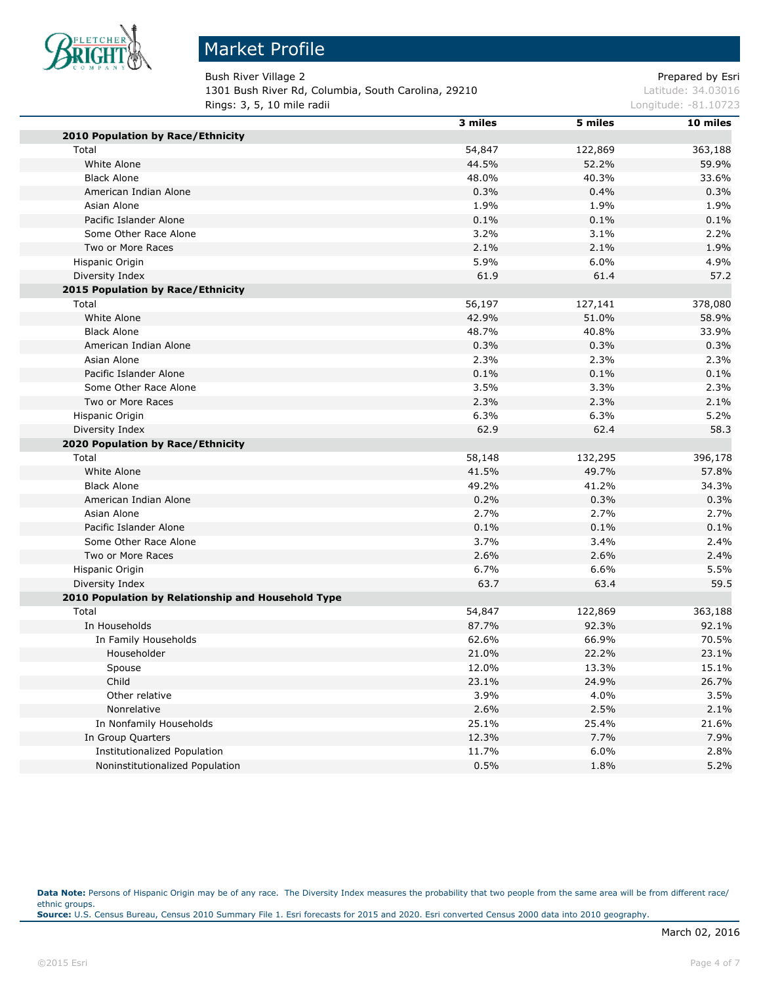

# Market Profile

Bush River Village 2 **Prepared by Estimate 2** Prepared by Esri 1301 Bush River Rd, Columbia, South Carolina, 29210 Latitude: 34.03016 **Rings: 3, 5, 10 mile radii Longitude: -81.10723** 

|                                                             | 3 miles | 5 miles | 10 miles |
|-------------------------------------------------------------|---------|---------|----------|
| 2010 Population by Race/Ethnicity                           |         |         |          |
| Total                                                       | 54,847  | 122,869 | 363,188  |
| White Alone                                                 | 44.5%   | 52.2%   | 59.9%    |
| <b>Black Alone</b>                                          | 48.0%   | 40.3%   | 33.6%    |
| American Indian Alone                                       | 0.3%    | 0.4%    | 0.3%     |
| Asian Alone                                                 | 1.9%    | 1.9%    | 1.9%     |
| Pacific Islander Alone                                      | 0.1%    | 0.1%    | 0.1%     |
| Some Other Race Alone                                       | 3.2%    | 3.1%    | 2.2%     |
| Two or More Races                                           | 2.1%    | 2.1%    | 1.9%     |
| Hispanic Origin                                             | 5.9%    | 6.0%    | 4.9%     |
| Diversity Index                                             | 61.9    | 61.4    | 57.2     |
| 2015 Population by Race/Ethnicity                           |         |         |          |
| Total                                                       | 56,197  | 127,141 | 378,080  |
| White Alone                                                 | 42.9%   | 51.0%   | 58.9%    |
| <b>Black Alone</b>                                          | 48.7%   | 40.8%   | 33.9%    |
| American Indian Alone                                       | 0.3%    | 0.3%    | 0.3%     |
| Asian Alone                                                 | 2.3%    | 2.3%    | 2.3%     |
| Pacific Islander Alone                                      | 0.1%    | 0.1%    | 0.1%     |
| Some Other Race Alone                                       | 3.5%    | 3.3%    | 2.3%     |
| Two or More Races                                           | 2.3%    | 2.3%    | 2.1%     |
| Hispanic Origin                                             | 6.3%    | 6.3%    | 5.2%     |
| Diversity Index                                             | 62.9    | 62.4    | 58.3     |
| 2020 Population by Race/Ethnicity                           |         |         |          |
| Total                                                       | 58,148  | 132,295 | 396,178  |
| White Alone                                                 | 41.5%   | 49.7%   | 57.8%    |
| <b>Black Alone</b>                                          | 49.2%   | 41.2%   | 34.3%    |
| American Indian Alone                                       | 0.2%    | 0.3%    | 0.3%     |
| Asian Alone                                                 | 2.7%    | 2.7%    | 2.7%     |
| Pacific Islander Alone                                      | 0.1%    | 0.1%    | 0.1%     |
| Some Other Race Alone                                       | 3.7%    | 3.4%    | 2.4%     |
| Two or More Races                                           | 2.6%    | 2.6%    | 2.4%     |
|                                                             | 6.7%    | 6.6%    | 5.5%     |
| Hispanic Origin                                             |         |         |          |
| Diversity Index                                             | 63.7    | 63.4    | 59.5     |
| 2010 Population by Relationship and Household Type<br>Total |         |         |          |
|                                                             | 54,847  | 122,869 | 363,188  |
| In Households                                               | 87.7%   | 92.3%   | 92.1%    |
| In Family Households                                        | 62.6%   | 66.9%   | 70.5%    |
| Householder                                                 | 21.0%   | 22.2%   | 23.1%    |
| Spouse                                                      | 12.0%   | 13.3%   | 15.1%    |
| Child                                                       | 23.1%   | 24.9%   | 26.7%    |
| Other relative                                              | 3.9%    | 4.0%    | 3.5%     |
| Nonrelative                                                 | 2.6%    | 2.5%    | 2.1%     |
| In Nonfamily Households                                     | 25.1%   | 25.4%   | 21.6%    |
| In Group Quarters                                           | 12.3%   | 7.7%    | 7.9%     |
| <b>Institutionalized Population</b>                         | 11.7%   | 6.0%    | 2.8%     |
| Noninstitutionalized Population                             | 0.5%    | 1.8%    | 5.2%     |

Data Note: Persons of Hispanic Origin may be of any race. The Diversity Index measures the probability that two people from the same area will be from different race/ ethnic groups. **Source:** U.S. Census Bureau, Census 2010 Summary File 1. Esri forecasts for 2015 and 2020. Esri converted Census 2000 data into 2010 geography.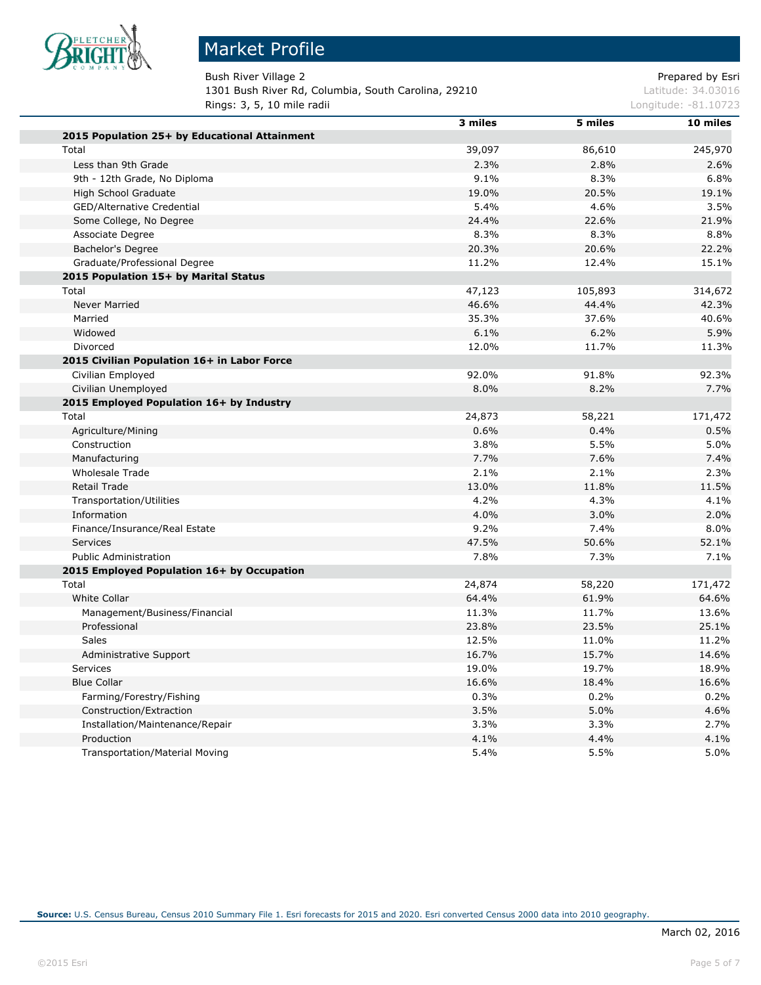

# Market Profile

Bush River Village 2 **Prepared by Estimate 2** Prepared by Esri 1301 Bush River Rd, Columbia, South Carolina, 29210 Latitude: 34.03016 **Rings: 3, 5, 10 mile radii Longitude: -81.10723** 

|                                               | 3 miles | 5 miles | 10 miles |
|-----------------------------------------------|---------|---------|----------|
| 2015 Population 25+ by Educational Attainment |         |         |          |
| Total                                         | 39,097  | 86,610  | 245,970  |
| Less than 9th Grade                           | 2.3%    | 2.8%    | 2.6%     |
| 9th - 12th Grade, No Diploma                  | 9.1%    | 8.3%    | 6.8%     |
| High School Graduate                          | 19.0%   | 20.5%   | 19.1%    |
| <b>GED/Alternative Credential</b>             | 5.4%    | 4.6%    | 3.5%     |
| Some College, No Degree                       | 24.4%   | 22.6%   | 21.9%    |
| Associate Degree                              | 8.3%    | 8.3%    | 8.8%     |
| Bachelor's Degree                             | 20.3%   | 20.6%   | 22.2%    |
| Graduate/Professional Degree                  | 11.2%   | 12.4%   | 15.1%    |
| 2015 Population 15+ by Marital Status         |         |         |          |
| Total                                         | 47,123  | 105,893 | 314,672  |
| <b>Never Married</b>                          | 46.6%   | 44.4%   | 42.3%    |
| Married                                       | 35.3%   | 37.6%   | 40.6%    |
| Widowed                                       | 6.1%    | 6.2%    | 5.9%     |
| Divorced                                      | 12.0%   | 11.7%   | 11.3%    |
| 2015 Civilian Population 16+ in Labor Force   |         |         |          |
| Civilian Employed                             | 92.0%   | 91.8%   | 92.3%    |
| Civilian Unemployed                           | 8.0%    | 8.2%    | 7.7%     |
| 2015 Employed Population 16+ by Industry      |         |         |          |
| Total                                         | 24,873  | 58,221  | 171,472  |
| Agriculture/Mining                            | 0.6%    | 0.4%    | 0.5%     |
| Construction                                  | 3.8%    | 5.5%    | 5.0%     |
| Manufacturing                                 | 7.7%    | 7.6%    | 7.4%     |
| <b>Wholesale Trade</b>                        | 2.1%    | 2.1%    | 2.3%     |
| <b>Retail Trade</b>                           | 13.0%   | 11.8%   | 11.5%    |
| Transportation/Utilities                      | 4.2%    | 4.3%    | 4.1%     |
| Information                                   | 4.0%    | 3.0%    | 2.0%     |
| Finance/Insurance/Real Estate                 | 9.2%    | 7.4%    | 8.0%     |
| Services                                      | 47.5%   | 50.6%   | 52.1%    |
| <b>Public Administration</b>                  | 7.8%    | 7.3%    | 7.1%     |
| 2015 Employed Population 16+ by Occupation    |         |         |          |
| Total                                         | 24,874  | 58,220  | 171,472  |
| White Collar                                  | 64.4%   | 61.9%   | 64.6%    |
| Management/Business/Financial                 | 11.3%   | 11.7%   | 13.6%    |
| Professional                                  | 23.8%   | 23.5%   | 25.1%    |
| Sales                                         | 12.5%   | 11.0%   | 11.2%    |
| Administrative Support                        | 16.7%   | 15.7%   | 14.6%    |
| <b>Services</b>                               | 19.0%   | 19.7%   | 18.9%    |
| <b>Blue Collar</b>                            | 16.6%   | 18.4%   | 16.6%    |
| Farming/Forestry/Fishing                      | 0.3%    | 0.2%    | 0.2%     |
| Construction/Extraction                       | 3.5%    | 5.0%    | 4.6%     |
| Installation/Maintenance/Repair               | 3.3%    | 3.3%    | 2.7%     |
| Production                                    | 4.1%    | 4.4%    | 4.1%     |
| <b>Transportation/Material Moving</b>         | 5.4%    | 5.5%    | 5.0%     |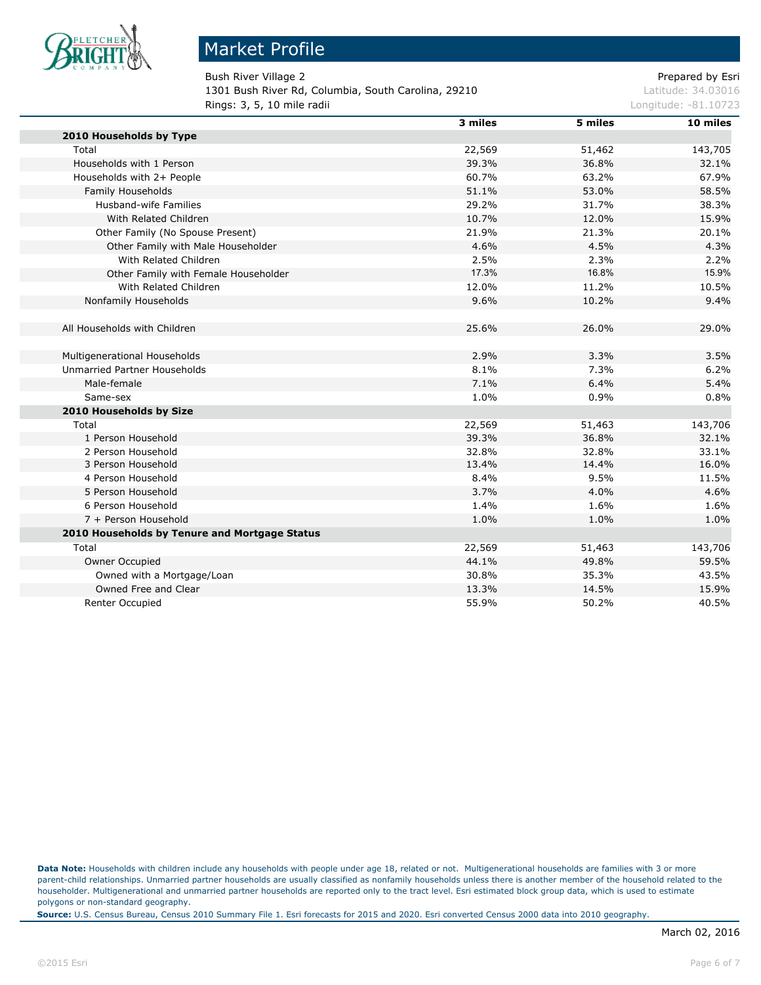

п

#### Market Profile

Bush River Village 2 **Prepared by Estimate 2** Prepared by Esri 1301 Bush River Rd, Columbia, South Carolina, 29210 Latitude: 34.03016 **Rings: 3, 5, 10 mile radii Longitude: -81.10723** 

|                                               | 3 miles | 5 miles | 10 miles |
|-----------------------------------------------|---------|---------|----------|
| 2010 Households by Type                       |         |         |          |
| Total                                         | 22,569  | 51,462  | 143,705  |
| Households with 1 Person                      | 39.3%   | 36.8%   | 32.1%    |
| Households with 2+ People                     | 60.7%   | 63.2%   | 67.9%    |
| Family Households                             | 51.1%   | 53.0%   | 58.5%    |
| <b>Husband-wife Families</b>                  | 29.2%   | 31.7%   | 38.3%    |
| With Related Children                         | 10.7%   | 12.0%   | 15.9%    |
| Other Family (No Spouse Present)              | 21.9%   | 21.3%   | 20.1%    |
| Other Family with Male Householder            | 4.6%    | 4.5%    | 4.3%     |
| With Related Children                         | 2.5%    | 2.3%    | 2.2%     |
| Other Family with Female Householder          | 17.3%   | 16.8%   | 15.9%    |
| With Related Children                         | 12.0%   | 11.2%   | 10.5%    |
| Nonfamily Households                          | 9.6%    | 10.2%   | 9.4%     |
|                                               |         |         |          |
| All Households with Children                  | 25.6%   | 26.0%   | 29.0%    |
| Multigenerational Households                  | 2.9%    | 3.3%    | 3.5%     |
| <b>Unmarried Partner Households</b>           | 8.1%    | 7.3%    | 6.2%     |
| Male-female                                   | 7.1%    | 6.4%    | 5.4%     |
| Same-sex                                      | 1.0%    | 0.9%    | 0.8%     |
| 2010 Households by Size                       |         |         |          |
| Total                                         | 22,569  | 51,463  | 143,706  |
| 1 Person Household                            | 39.3%   | 36.8%   | 32.1%    |
| 2 Person Household                            | 32.8%   | 32.8%   | 33.1%    |
| 3 Person Household                            | 13.4%   | 14.4%   | 16.0%    |
| 4 Person Household                            | 8.4%    | 9.5%    | 11.5%    |
| 5 Person Household                            | 3.7%    | 4.0%    | 4.6%     |
| 6 Person Household                            | 1.4%    | 1.6%    | 1.6%     |
| 7 + Person Household                          | 1.0%    | 1.0%    | 1.0%     |
| 2010 Households by Tenure and Mortgage Status |         |         |          |
| Total                                         | 22,569  | 51,463  | 143,706  |
| Owner Occupied                                | 44.1%   | 49.8%   | 59.5%    |
| Owned with a Mortgage/Loan                    | 30.8%   | 35.3%   | 43.5%    |
| Owned Free and Clear                          | 13.3%   | 14.5%   | 15.9%    |
| <b>Renter Occupied</b>                        | 55.9%   | 50.2%   | 40.5%    |

**Data Note:** Households with children include any households with people under age 18, related or not. Multigenerational households are families with 3 or more parent-child relationships. Unmarried partner households are usually classified as nonfamily households unless there is another member of the household related to the householder. Multigenerational and unmarried partner households are reported only to the tract level. Esri estimated block group data, which is used to estimate polygons or non-standard geography.

**Source:** U.S. Census Bureau, Census 2010 Summary File 1. Esri forecasts for 2015 and 2020. Esri converted Census 2000 data into 2010 geography.